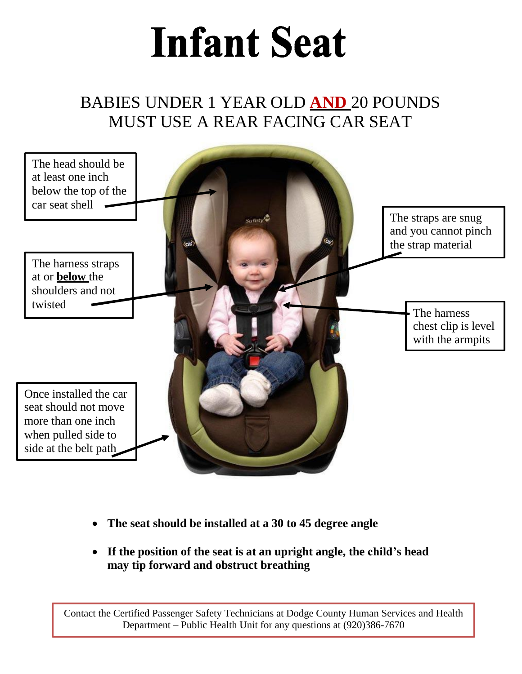## **Infant Seat**

### BABIES UNDER 1 YEAR OLD **AND** 20 POUNDS MUST USE A REAR FACING CAR SEAT



- **The seat should be installed at a 30 to 45 degree angle**
- **If the position of the seat is at an upright angle, the child's head may tip forward and obstruct breathing**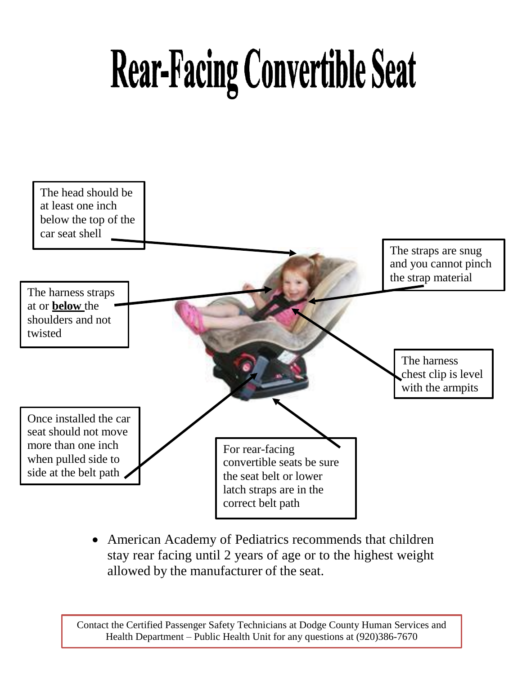# **Rear-Facing Convertible Seat**



 American Academy of Pediatrics recommends that children stay rear facing until 2 years of age or to the highest weight allowed by the manufacturer of the seat.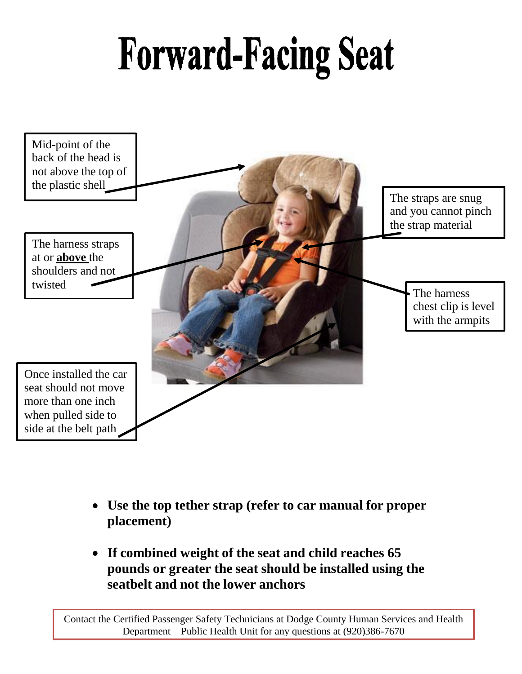## **Forward-Facing Seat**



- **Use the top tether strap (refer to car manual for proper placement)**
- **If combined weight of the seat and child reaches 65 pounds or greater the seat should be installed using the seatbelt and not the lower anchors**